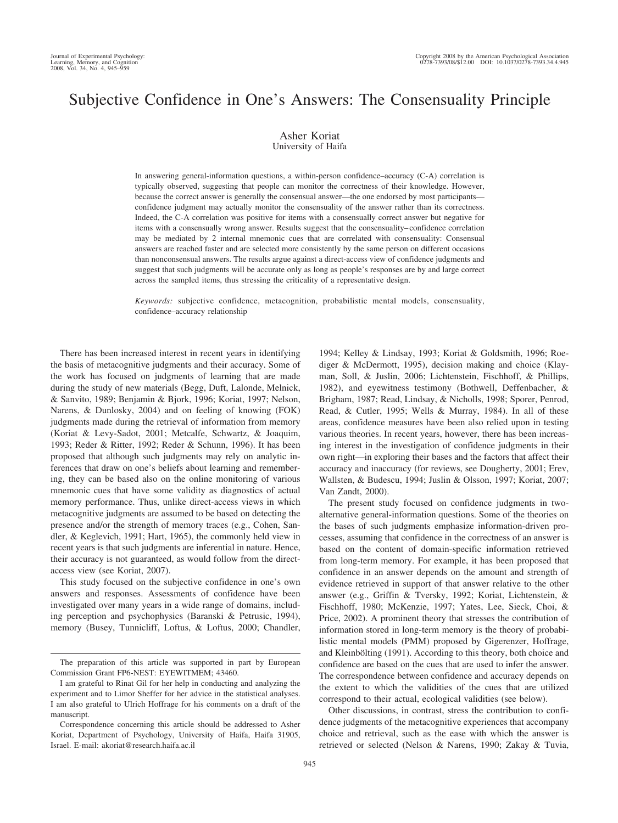# Subjective Confidence in One's Answers: The Consensuality Principle

### Asher Koriat University of Haifa

In answering general-information questions, a within-person confidence–accuracy (C-A) correlation is typically observed, suggesting that people can monitor the correctness of their knowledge. However, because the correct answer is generally the consensual answer—the one endorsed by most participants confidence judgment may actually monitor the consensuality of the answer rather than its correctness. Indeed, the C-A correlation was positive for items with a consensually correct answer but negative for items with a consensually wrong answer. Results suggest that the consensuality– confidence correlation may be mediated by 2 internal mnemonic cues that are correlated with consensuality: Consensual answers are reached faster and are selected more consistently by the same person on different occasions than nonconsensual answers. The results argue against a direct-access view of confidence judgments and suggest that such judgments will be accurate only as long as people's responses are by and large correct across the sampled items, thus stressing the criticality of a representative design.

*Keywords:* subjective confidence, metacognition, probabilistic mental models, consensuality, confidence–accuracy relationship

There has been increased interest in recent years in identifying the basis of metacognitive judgments and their accuracy. Some of the work has focused on judgments of learning that are made during the study of new materials (Begg, Duft, Lalonde, Melnick, & Sanvito, 1989; Benjamin & Bjork, 1996; Koriat, 1997; Nelson, Narens, & Dunlosky, 2004) and on feeling of knowing (FOK) judgments made during the retrieval of information from memory (Koriat & Levy-Sadot, 2001; Metcalfe, Schwartz, & Joaquim, 1993; Reder & Ritter, 1992; Reder & Schunn, 1996). It has been proposed that although such judgments may rely on analytic inferences that draw on one's beliefs about learning and remembering, they can be based also on the online monitoring of various mnemonic cues that have some validity as diagnostics of actual memory performance. Thus, unlike direct-access views in which metacognitive judgments are assumed to be based on detecting the presence and/or the strength of memory traces (e.g., Cohen, Sandler, & Keglevich, 1991; Hart, 1965), the commonly held view in recent years is that such judgments are inferential in nature. Hence, their accuracy is not guaranteed, as would follow from the directaccess view (see Koriat, 2007).

This study focused on the subjective confidence in one's own answers and responses. Assessments of confidence have been investigated over many years in a wide range of domains, including perception and psychophysics (Baranski & Petrusic, 1994), memory (Busey, Tunnicliff, Loftus, & Loftus, 2000; Chandler, man, Soll, & Juslin, 2006; Lichtenstein, Fischhoff, & Phillips, 1982), and eyewitness testimony (Bothwell, Deffenbacher, & Brigham, 1987; Read, Lindsay, & Nicholls, 1998; Sporer, Penrod, Read, & Cutler, 1995; Wells & Murray, 1984). In all of these areas, confidence measures have been also relied upon in testing various theories. In recent years, however, there has been increasing interest in the investigation of confidence judgments in their own right—in exploring their bases and the factors that affect their accuracy and inaccuracy (for reviews, see Dougherty, 2001; Erev, Wallsten, & Budescu, 1994; Juslin & Olsson, 1997; Koriat, 2007; Van Zandt, 2000). The present study focused on confidence judgments in twoalternative general-information questions. Some of the theories on

1994; Kelley & Lindsay, 1993; Koriat & Goldsmith, 1996; Roediger & McDermott, 1995), decision making and choice (Klay-

the bases of such judgments emphasize information-driven processes, assuming that confidence in the correctness of an answer is based on the content of domain-specific information retrieved from long-term memory. For example, it has been proposed that confidence in an answer depends on the amount and strength of evidence retrieved in support of that answer relative to the other answer (e.g., Griffin & Tversky, 1992; Koriat, Lichtenstein, & Fischhoff, 1980; McKenzie, 1997; Yates, Lee, Sieck, Choi, & Price, 2002). A prominent theory that stresses the contribution of information stored in long-term memory is the theory of probabilistic mental models (PMM) proposed by Gigerenzer, Hoffrage, and Kleinbölting (1991). According to this theory, both choice and confidence are based on the cues that are used to infer the answer. The correspondence between confidence and accuracy depends on the extent to which the validities of the cues that are utilized correspond to their actual, ecological validities (see below).

Other discussions, in contrast, stress the contribution to confidence judgments of the metacognitive experiences that accompany choice and retrieval, such as the ease with which the answer is retrieved or selected (Nelson & Narens, 1990; Zakay & Tuvia,

The preparation of this article was supported in part by European Commission Grant FP6-NEST: EYEWITMEM; 43460.

I am grateful to Rinat Gil for her help in conducting and analyzing the experiment and to Limor Sheffer for her advice in the statistical analyses. I am also grateful to Ulrich Hoffrage for his comments on a draft of the manuscript.

Correspondence concerning this article should be addressed to Asher Koriat, Department of Psychology, University of Haifa, Haifa 31905, Israel. E-mail: akoriat@research.haifa.ac.il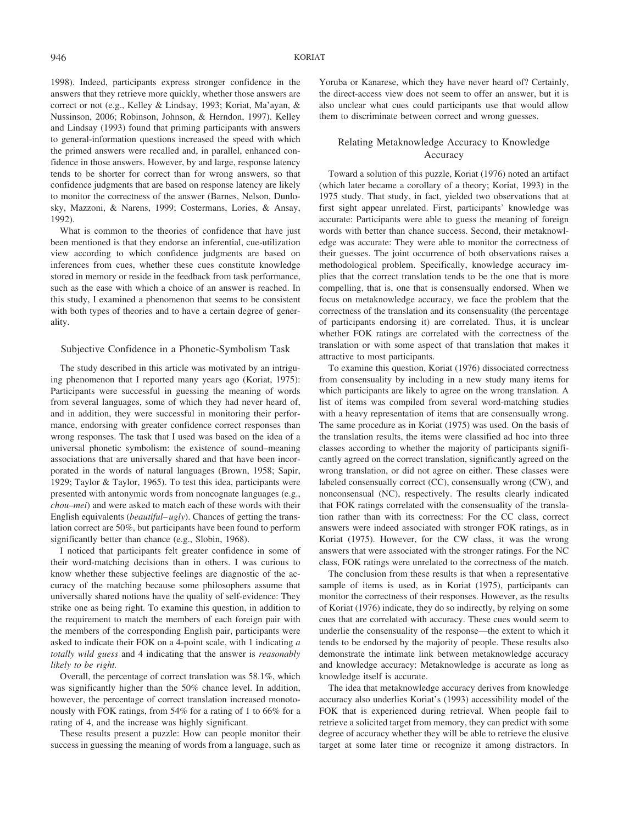1998). Indeed, participants express stronger confidence in the answers that they retrieve more quickly, whether those answers are correct or not (e.g., Kelley & Lindsay, 1993; Koriat, Ma'ayan, & Nussinson, 2006; Robinson, Johnson, & Herndon, 1997). Kelley and Lindsay (1993) found that priming participants with answers to general-information questions increased the speed with which the primed answers were recalled and, in parallel, enhanced confidence in those answers. However, by and large, response latency tends to be shorter for correct than for wrong answers, so that confidence judgments that are based on response latency are likely to monitor the correctness of the answer (Barnes, Nelson, Dunlosky, Mazzoni, & Narens, 1999; Costermans, Lories, & Ansay, 1992).

What is common to the theories of confidence that have just been mentioned is that they endorse an inferential, cue-utilization view according to which confidence judgments are based on inferences from cues, whether these cues constitute knowledge stored in memory or reside in the feedback from task performance, such as the ease with which a choice of an answer is reached. In this study, I examined a phenomenon that seems to be consistent with both types of theories and to have a certain degree of generality.

#### Subjective Confidence in a Phonetic-Symbolism Task

The study described in this article was motivated by an intriguing phenomenon that I reported many years ago (Koriat, 1975): Participants were successful in guessing the meaning of words from several languages, some of which they had never heard of, and in addition, they were successful in monitoring their performance, endorsing with greater confidence correct responses than wrong responses. The task that I used was based on the idea of a universal phonetic symbolism: the existence of sound–meaning associations that are universally shared and that have been incorporated in the words of natural languages (Brown, 1958; Sapir, 1929; Taylor & Taylor, 1965). To test this idea, participants were presented with antonymic words from noncognate languages (e.g., *chou–mei*) and were asked to match each of these words with their English equivalents (*beautiful– ugly*). Chances of getting the translation correct are 50%, but participants have been found to perform significantly better than chance (e.g., Slobin, 1968).

I noticed that participants felt greater confidence in some of their word-matching decisions than in others. I was curious to know whether these subjective feelings are diagnostic of the accuracy of the matching because some philosophers assume that universally shared notions have the quality of self-evidence: They strike one as being right. To examine this question, in addition to the requirement to match the members of each foreign pair with the members of the corresponding English pair, participants were asked to indicate their FOK on a 4-point scale, with 1 indicating *a totally wild guess* and 4 indicating that the answer is *reasonably likely to be right.*

Overall, the percentage of correct translation was 58.1%, which was significantly higher than the 50% chance level. In addition, however, the percentage of correct translation increased monotonously with FOK ratings, from 54% for a rating of 1 to 66% for a rating of 4, and the increase was highly significant.

These results present a puzzle: How can people monitor their success in guessing the meaning of words from a language, such as Yoruba or Kanarese, which they have never heard of? Certainly, the direct-access view does not seem to offer an answer, but it is also unclear what cues could participants use that would allow them to discriminate between correct and wrong guesses.

## Relating Metaknowledge Accuracy to Knowledge Accuracy

Toward a solution of this puzzle, Koriat (1976) noted an artifact (which later became a corollary of a theory; Koriat, 1993) in the 1975 study. That study, in fact, yielded two observations that at first sight appear unrelated. First, participants' knowledge was accurate: Participants were able to guess the meaning of foreign words with better than chance success. Second, their metaknowledge was accurate: They were able to monitor the correctness of their guesses. The joint occurrence of both observations raises a methodological problem. Specifically, knowledge accuracy implies that the correct translation tends to be the one that is more compelling, that is, one that is consensually endorsed. When we focus on metaknowledge accuracy, we face the problem that the correctness of the translation and its consensuality (the percentage of participants endorsing it) are correlated. Thus, it is unclear whether FOK ratings are correlated with the correctness of the translation or with some aspect of that translation that makes it attractive to most participants.

To examine this question, Koriat (1976) dissociated correctness from consensuality by including in a new study many items for which participants are likely to agree on the wrong translation. A list of items was compiled from several word-matching studies with a heavy representation of items that are consensually wrong. The same procedure as in Koriat (1975) was used. On the basis of the translation results, the items were classified ad hoc into three classes according to whether the majority of participants significantly agreed on the correct translation, significantly agreed on the wrong translation, or did not agree on either. These classes were labeled consensually correct (CC), consensually wrong (CW), and nonconsensual (NC), respectively. The results clearly indicated that FOK ratings correlated with the consensuality of the translation rather than with its correctness: For the CC class, correct answers were indeed associated with stronger FOK ratings, as in Koriat (1975). However, for the CW class, it was the wrong answers that were associated with the stronger ratings. For the NC class, FOK ratings were unrelated to the correctness of the match.

The conclusion from these results is that when a representative sample of items is used, as in Koriat (1975), participants can monitor the correctness of their responses. However, as the results of Koriat (1976) indicate, they do so indirectly, by relying on some cues that are correlated with accuracy. These cues would seem to underlie the consensuality of the response—the extent to which it tends to be endorsed by the majority of people. These results also demonstrate the intimate link between metaknowledge accuracy and knowledge accuracy: Metaknowledge is accurate as long as knowledge itself is accurate.

The idea that metaknowledge accuracy derives from knowledge accuracy also underlies Koriat's (1993) accessibility model of the FOK that is experienced during retrieval. When people fail to retrieve a solicited target from memory, they can predict with some degree of accuracy whether they will be able to retrieve the elusive target at some later time or recognize it among distractors. In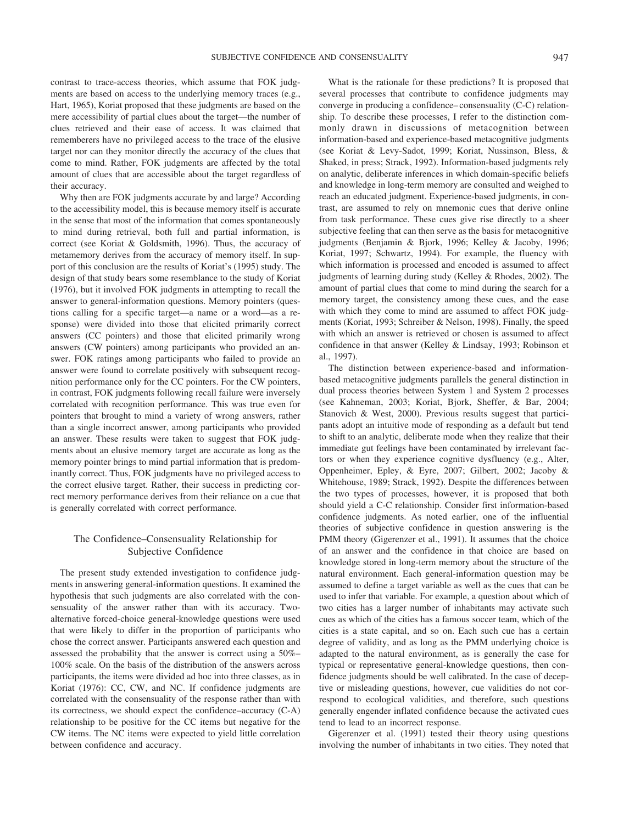contrast to trace-access theories, which assume that FOK judgments are based on access to the underlying memory traces (e.g., Hart, 1965), Koriat proposed that these judgments are based on the mere accessibility of partial clues about the target—the number of clues retrieved and their ease of access. It was claimed that rememberers have no privileged access to the trace of the elusive target nor can they monitor directly the accuracy of the clues that come to mind. Rather, FOK judgments are affected by the total amount of clues that are accessible about the target regardless of their accuracy.

Why then are FOK judgments accurate by and large? According to the accessibility model, this is because memory itself is accurate in the sense that most of the information that comes spontaneously to mind during retrieval, both full and partial information, is correct (see Koriat & Goldsmith, 1996). Thus, the accuracy of metamemory derives from the accuracy of memory itself. In support of this conclusion are the results of Koriat's (1995) study. The design of that study bears some resemblance to the study of Koriat (1976), but it involved FOK judgments in attempting to recall the answer to general-information questions. Memory pointers (questions calling for a specific target—a name or a word—as a response) were divided into those that elicited primarily correct answers (CC pointers) and those that elicited primarily wrong answers (CW pointers) among participants who provided an answer. FOK ratings among participants who failed to provide an answer were found to correlate positively with subsequent recognition performance only for the CC pointers. For the CW pointers, in contrast, FOK judgments following recall failure were inversely correlated with recognition performance. This was true even for pointers that brought to mind a variety of wrong answers, rather than a single incorrect answer, among participants who provided an answer. These results were taken to suggest that FOK judgments about an elusive memory target are accurate as long as the memory pointer brings to mind partial information that is predominantly correct. Thus, FOK judgments have no privileged access to the correct elusive target. Rather, their success in predicting correct memory performance derives from their reliance on a cue that is generally correlated with correct performance.

#### The Confidence–Consensuality Relationship for Subjective Confidence

The present study extended investigation to confidence judgments in answering general-information questions. It examined the hypothesis that such judgments are also correlated with the consensuality of the answer rather than with its accuracy. Twoalternative forced-choice general-knowledge questions were used that were likely to differ in the proportion of participants who chose the correct answer. Participants answered each question and assessed the probability that the answer is correct using a 50%– 100% scale. On the basis of the distribution of the answers across participants, the items were divided ad hoc into three classes, as in Koriat (1976): CC, CW, and NC. If confidence judgments are correlated with the consensuality of the response rather than with its correctness, we should expect the confidence–accuracy (C-A) relationship to be positive for the CC items but negative for the CW items. The NC items were expected to yield little correlation between confidence and accuracy.

What is the rationale for these predictions? It is proposed that several processes that contribute to confidence judgments may converge in producing a confidence– consensuality (C-C) relationship. To describe these processes, I refer to the distinction commonly drawn in discussions of metacognition between information-based and experience-based metacognitive judgments (see Koriat & Levy-Sadot, 1999; Koriat, Nussinson, Bless, & Shaked, in press; Strack, 1992). Information-based judgments rely on analytic, deliberate inferences in which domain-specific beliefs and knowledge in long-term memory are consulted and weighed to reach an educated judgment. Experience-based judgments, in contrast, are assumed to rely on mnemonic cues that derive online from task performance. These cues give rise directly to a sheer subjective feeling that can then serve as the basis for metacognitive judgments (Benjamin & Bjork, 1996; Kelley & Jacoby, 1996; Koriat, 1997; Schwartz, 1994). For example, the fluency with which information is processed and encoded is assumed to affect judgments of learning during study (Kelley & Rhodes, 2002). The amount of partial clues that come to mind during the search for a memory target, the consistency among these cues, and the ease with which they come to mind are assumed to affect FOK judgments (Koriat, 1993; Schreiber & Nelson, 1998). Finally, the speed with which an answer is retrieved or chosen is assumed to affect confidence in that answer (Kelley & Lindsay, 1993; Robinson et al., 1997).

The distinction between experience-based and informationbased metacognitive judgments parallels the general distinction in dual process theories between System 1 and System 2 processes (see Kahneman, 2003; Koriat, Bjork, Sheffer, & Bar, 2004; Stanovich & West, 2000). Previous results suggest that participants adopt an intuitive mode of responding as a default but tend to shift to an analytic, deliberate mode when they realize that their immediate gut feelings have been contaminated by irrelevant factors or when they experience cognitive dysfluency (e.g., Alter, Oppenheimer, Epley, & Eyre, 2007; Gilbert, 2002; Jacoby & Whitehouse, 1989; Strack, 1992). Despite the differences between the two types of processes, however, it is proposed that both should yield a C-C relationship. Consider first information-based confidence judgments. As noted earlier, one of the influential theories of subjective confidence in question answering is the PMM theory (Gigerenzer et al., 1991). It assumes that the choice of an answer and the confidence in that choice are based on knowledge stored in long-term memory about the structure of the natural environment. Each general-information question may be assumed to define a target variable as well as the cues that can be used to infer that variable. For example, a question about which of two cities has a larger number of inhabitants may activate such cues as which of the cities has a famous soccer team, which of the cities is a state capital, and so on. Each such cue has a certain degree of validity, and as long as the PMM underlying choice is adapted to the natural environment, as is generally the case for typical or representative general-knowledge questions, then confidence judgments should be well calibrated. In the case of deceptive or misleading questions, however, cue validities do not correspond to ecological validities, and therefore, such questions generally engender inflated confidence because the activated cues tend to lead to an incorrect response.

Gigerenzer et al. (1991) tested their theory using questions involving the number of inhabitants in two cities. They noted that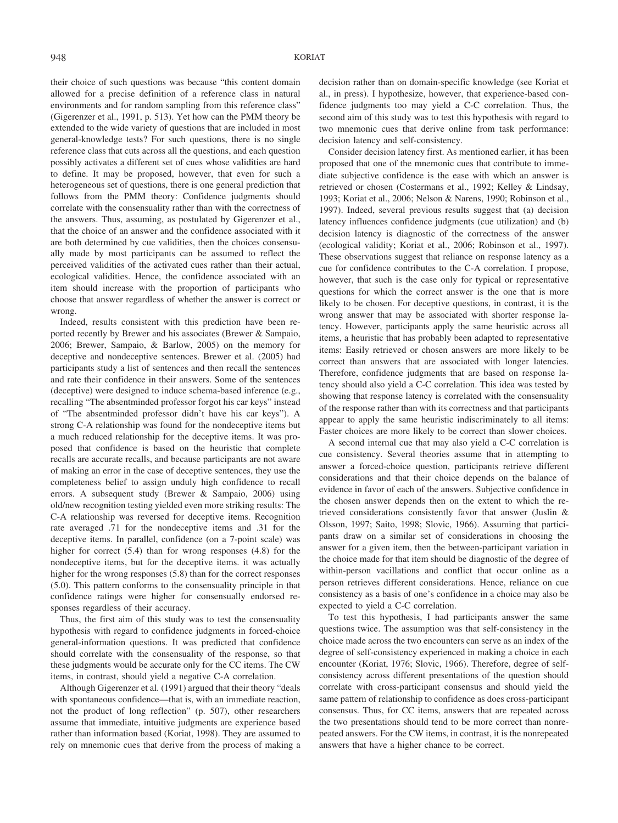their choice of such questions was because "this content domain allowed for a precise definition of a reference class in natural environments and for random sampling from this reference class" (Gigerenzer et al., 1991, p. 513). Yet how can the PMM theory be extended to the wide variety of questions that are included in most general-knowledge tests? For such questions, there is no single reference class that cuts across all the questions, and each question possibly activates a different set of cues whose validities are hard to define. It may be proposed, however, that even for such a heterogeneous set of questions, there is one general prediction that follows from the PMM theory: Confidence judgments should correlate with the consensuality rather than with the correctness of the answers. Thus, assuming, as postulated by Gigerenzer et al., that the choice of an answer and the confidence associated with it are both determined by cue validities, then the choices consensually made by most participants can be assumed to reflect the perceived validities of the activated cues rather than their actual, ecological validities. Hence, the confidence associated with an item should increase with the proportion of participants who choose that answer regardless of whether the answer is correct or wrong.

Indeed, results consistent with this prediction have been reported recently by Brewer and his associates (Brewer & Sampaio, 2006; Brewer, Sampaio, & Barlow, 2005) on the memory for deceptive and nondeceptive sentences. Brewer et al. (2005) had participants study a list of sentences and then recall the sentences and rate their confidence in their answers. Some of the sentences (deceptive) were designed to induce schema-based inference (e.g., recalling "The absentminded professor forgot his car keys" instead of "The absentminded professor didn't have his car keys"). A strong C-A relationship was found for the nondeceptive items but a much reduced relationship for the deceptive items. It was proposed that confidence is based on the heuristic that complete recalls are accurate recalls, and because participants are not aware of making an error in the case of deceptive sentences, they use the completeness belief to assign unduly high confidence to recall errors. A subsequent study (Brewer & Sampaio, 2006) using old/new recognition testing yielded even more striking results: The C-A relationship was reversed for deceptive items. Recognition rate averaged .71 for the nondeceptive items and .31 for the deceptive items. In parallel, confidence (on a 7-point scale) was higher for correct (5.4) than for wrong responses (4.8) for the nondeceptive items, but for the deceptive items. it was actually higher for the wrong responses (5.8) than for the correct responses (5.0). This pattern conforms to the consensuality principle in that confidence ratings were higher for consensually endorsed responses regardless of their accuracy.

Thus, the first aim of this study was to test the consensuality hypothesis with regard to confidence judgments in forced-choice general-information questions. It was predicted that confidence should correlate with the consensuality of the response, so that these judgments would be accurate only for the CC items. The CW items, in contrast, should yield a negative C-A correlation.

Although Gigerenzer et al. (1991) argued that their theory "deals with spontaneous confidence—that is, with an immediate reaction, not the product of long reflection" (p. 507), other researchers assume that immediate, intuitive judgments are experience based rather than information based (Koriat, 1998). They are assumed to rely on mnemonic cues that derive from the process of making a decision rather than on domain-specific knowledge (see Koriat et al., in press). I hypothesize, however, that experience-based confidence judgments too may yield a C-C correlation. Thus, the second aim of this study was to test this hypothesis with regard to two mnemonic cues that derive online from task performance: decision latency and self-consistency.

Consider decision latency first. As mentioned earlier, it has been proposed that one of the mnemonic cues that contribute to immediate subjective confidence is the ease with which an answer is retrieved or chosen (Costermans et al., 1992; Kelley & Lindsay, 1993; Koriat et al., 2006; Nelson & Narens, 1990; Robinson et al., 1997). Indeed, several previous results suggest that (a) decision latency influences confidence judgments (cue utilization) and (b) decision latency is diagnostic of the correctness of the answer (ecological validity; Koriat et al., 2006; Robinson et al., 1997). These observations suggest that reliance on response latency as a cue for confidence contributes to the C-A correlation. I propose, however, that such is the case only for typical or representative questions for which the correct answer is the one that is more likely to be chosen. For deceptive questions, in contrast, it is the wrong answer that may be associated with shorter response latency. However, participants apply the same heuristic across all items, a heuristic that has probably been adapted to representative items: Easily retrieved or chosen answers are more likely to be correct than answers that are associated with longer latencies. Therefore, confidence judgments that are based on response latency should also yield a C-C correlation. This idea was tested by showing that response latency is correlated with the consensuality of the response rather than with its correctness and that participants appear to apply the same heuristic indiscriminately to all items: Faster choices are more likely to be correct than slower choices.

A second internal cue that may also yield a C-C correlation is cue consistency. Several theories assume that in attempting to answer a forced-choice question, participants retrieve different considerations and that their choice depends on the balance of evidence in favor of each of the answers. Subjective confidence in the chosen answer depends then on the extent to which the retrieved considerations consistently favor that answer (Juslin & Olsson, 1997; Saito, 1998; Slovic, 1966). Assuming that participants draw on a similar set of considerations in choosing the answer for a given item, then the between-participant variation in the choice made for that item should be diagnostic of the degree of within-person vacillations and conflict that occur online as a person retrieves different considerations. Hence, reliance on cue consistency as a basis of one's confidence in a choice may also be expected to yield a C-C correlation.

To test this hypothesis, I had participants answer the same questions twice. The assumption was that self-consistency in the choice made across the two encounters can serve as an index of the degree of self-consistency experienced in making a choice in each encounter (Koriat, 1976; Slovic, 1966). Therefore, degree of selfconsistency across different presentations of the question should correlate with cross-participant consensus and should yield the same pattern of relationship to confidence as does cross-participant consensus. Thus, for CC items, answers that are repeated across the two presentations should tend to be more correct than nonrepeated answers. For the CW items, in contrast, it is the nonrepeated answers that have a higher chance to be correct.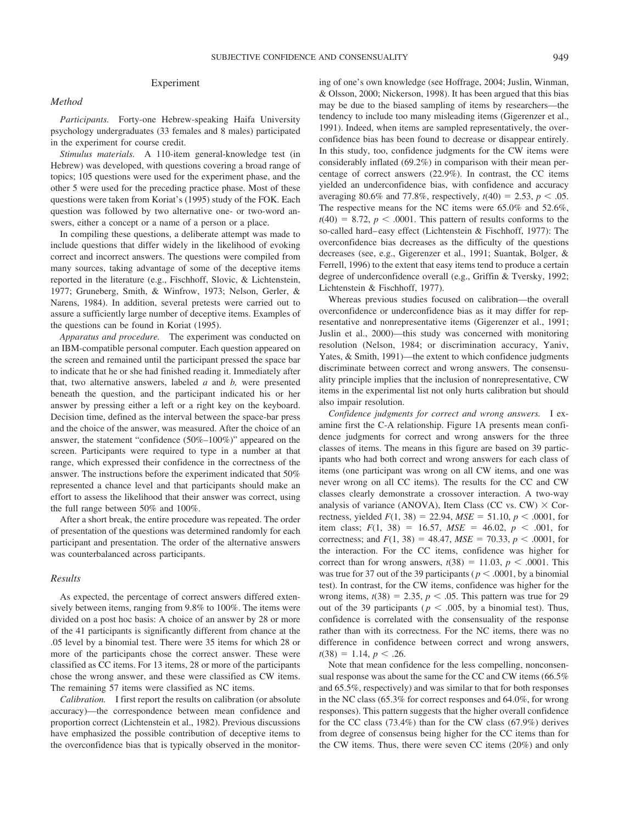#### Experiment

#### *Method*

*Participants.* Forty-one Hebrew-speaking Haifa University psychology undergraduates (33 females and 8 males) participated in the experiment for course credit.

*Stimulus materials.* A 110-item general-knowledge test (in Hebrew) was developed, with questions covering a broad range of topics; 105 questions were used for the experiment phase, and the other 5 were used for the preceding practice phase. Most of these questions were taken from Koriat's (1995) study of the FOK. Each question was followed by two alternative one- or two-word answers, either a concept or a name of a person or a place.

In compiling these questions, a deliberate attempt was made to include questions that differ widely in the likelihood of evoking correct and incorrect answers. The questions were compiled from many sources, taking advantage of some of the deceptive items reported in the literature (e.g., Fischhoff, Slovic, & Lichtenstein, 1977; Gruneberg, Smith, & Winfrow, 1973; Nelson, Gerler, & Narens, 1984). In addition, several pretests were carried out to assure a sufficiently large number of deceptive items. Examples of the questions can be found in Koriat (1995).

*Apparatus and procedure.* The experiment was conducted on an IBM-compatible personal computer. Each question appeared on the screen and remained until the participant pressed the space bar to indicate that he or she had finished reading it. Immediately after that, two alternative answers, labeled *a* and *b,* were presented beneath the question, and the participant indicated his or her answer by pressing either a left or a right key on the keyboard. Decision time, defined as the interval between the space-bar press and the choice of the answer, was measured. After the choice of an answer, the statement "confidence (50%–100%)" appeared on the screen. Participants were required to type in a number at that range, which expressed their confidence in the correctness of the answer. The instructions before the experiment indicated that 50% represented a chance level and that participants should make an effort to assess the likelihood that their answer was correct, using the full range between 50% and 100%.

After a short break, the entire procedure was repeated. The order of presentation of the questions was determined randomly for each participant and presentation. The order of the alternative answers was counterbalanced across participants.

#### *Results*

As expected, the percentage of correct answers differed extensively between items, ranging from 9.8% to 100%. The items were divided on a post hoc basis: A choice of an answer by 28 or more of the 41 participants is significantly different from chance at the .05 level by a binomial test. There were 35 items for which 28 or more of the participants chose the correct answer. These were classified as CC items. For 13 items, 28 or more of the participants chose the wrong answer, and these were classified as CW items. The remaining 57 items were classified as NC items.

*Calibration.* I first report the results on calibration (or absolute accuracy)—the correspondence between mean confidence and proportion correct (Lichtenstein et al., 1982). Previous discussions have emphasized the possible contribution of deceptive items to the overconfidence bias that is typically observed in the monitoring of one's own knowledge (see Hoffrage, 2004; Juslin, Winman, & Olsson, 2000; Nickerson, 1998). It has been argued that this bias may be due to the biased sampling of items by researchers—the tendency to include too many misleading items (Gigerenzer et al., 1991). Indeed, when items are sampled representatively, the overconfidence bias has been found to decrease or disappear entirely. In this study, too, confidence judgments for the CW items were considerably inflated (69.2%) in comparison with their mean percentage of correct answers (22.9%). In contrast, the CC items yielded an underconfidence bias, with confidence and accuracy averaging 80.6% and 77.8%, respectively,  $t(40) = 2.53$ ,  $p < .05$ . The respective means for the NC items were 65.0% and 52.6%,  $t(40) = 8.72$ ,  $p < .0001$ . This pattern of results conforms to the so-called hard– easy effect (Lichtenstein & Fischhoff, 1977): The overconfidence bias decreases as the difficulty of the questions decreases (see, e.g., Gigerenzer et al., 1991; Suantak, Bolger, & Ferrell, 1996) to the extent that easy items tend to produce a certain degree of underconfidence overall (e.g., Griffin & Tversky, 1992; Lichtenstein & Fischhoff, 1977).

Whereas previous studies focused on calibration—the overall overconfidence or underconfidence bias as it may differ for representative and nonrepresentative items (Gigerenzer et al., 1991; Juslin et al., 2000)—this study was concerned with monitoring resolution (Nelson, 1984; or discrimination accuracy, Yaniv, Yates, & Smith, 1991)—the extent to which confidence judgments discriminate between correct and wrong answers. The consensuality principle implies that the inclusion of nonrepresentative, CW items in the experimental list not only hurts calibration but should also impair resolution.

*Confidence judgments for correct and wrong answers.* I examine first the C-A relationship. Figure 1A presents mean confidence judgments for correct and wrong answers for the three classes of items. The means in this figure are based on 39 participants who had both correct and wrong answers for each class of items (one participant was wrong on all CW items, and one was never wrong on all CC items). The results for the CC and CW classes clearly demonstrate a crossover interaction. A two-way analysis of variance (ANOVA), Item Class (CC vs. CW)  $\times$  Correctness, yielded  $F(1, 38) = 22.94$ ,  $MSE = 51.10$ ,  $p < .0001$ , for item class;  $F(1, 38) = 16.57$ ,  $MSE = 46.02$ ,  $p < .001$ , for correctness; and  $F(1, 38) = 48.47$ ,  $MSE = 70.33$ ,  $p < .0001$ , for the interaction. For the CC items, confidence was higher for correct than for wrong answers,  $t(38) = 11.03$ ,  $p < .0001$ . This was true for 37 out of the 39 participants ( $p < .0001$ , by a binomial test). In contrast, for the CW items, confidence was higher for the wrong items,  $t(38) = 2.35$ ,  $p < .05$ . This pattern was true for 29 out of the 39 participants ( $p < .005$ , by a binomial test). Thus, confidence is correlated with the consensuality of the response rather than with its correctness. For the NC items, there was no difference in confidence between correct and wrong answers,  $t(38) = 1.14, p < .26.$ 

Note that mean confidence for the less compelling, nonconsensual response was about the same for the CC and CW items (66.5% and 65.5%, respectively) and was similar to that for both responses in the NC class (65.3% for correct responses and 64.0%, for wrong responses). This pattern suggests that the higher overall confidence for the CC class (73.4%) than for the CW class (67.9%) derives from degree of consensus being higher for the CC items than for the CW items. Thus, there were seven CC items (20%) and only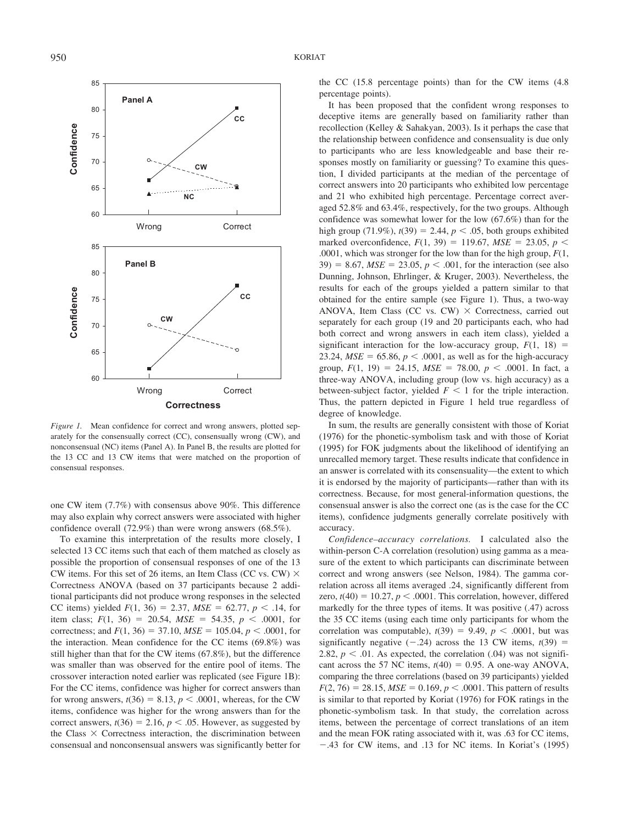

*Figure 1.* Mean confidence for correct and wrong answers, plotted separately for the consensually correct (CC), consensually wrong (CW), and nonconsensual (NC) items (Panel A). In Panel B, the results are plotted for the 13 CC and 13 CW items that were matched on the proportion of consensual responses.

one CW item (7.7%) with consensus above 90%. This difference may also explain why correct answers were associated with higher confidence overall (72.9%) than were wrong answers (68.5%).

To examine this interpretation of the results more closely, I selected 13 CC items such that each of them matched as closely as possible the proportion of consensual responses of one of the 13 CW items. For this set of 26 items, an Item Class (CC vs. CW)  $\times$ Correctness ANOVA (based on 37 participants because 2 additional participants did not produce wrong responses in the selected CC items) yielded  $F(1, 36) = 2.37$ ,  $MSE = 62.77$ ,  $p < .14$ , for item class;  $F(1, 36) = 20.54$ ,  $MSE = 54.35$ ,  $p < .0001$ , for correctness; and  $F(1, 36) = 37.10$ ,  $MSE = 105.04$ ,  $p < .0001$ , for the interaction. Mean confidence for the CC items (69.8%) was still higher than that for the CW items (67.8%), but the difference was smaller than was observed for the entire pool of items. The crossover interaction noted earlier was replicated (see Figure 1B): For the CC items, confidence was higher for correct answers than for wrong answers,  $t(36) = 8.13$ ,  $p < .0001$ , whereas, for the CW items, confidence was higher for the wrong answers than for the correct answers,  $t(36) = 2.16$ ,  $p < .05$ . However, as suggested by the Class  $\times$  Correctness interaction, the discrimination between consensual and nonconsensual answers was significantly better for the CC (15.8 percentage points) than for the CW items (4.8 percentage points).

It has been proposed that the confident wrong responses to deceptive items are generally based on familiarity rather than recollection (Kelley & Sahakyan, 2003). Is it perhaps the case that the relationship between confidence and consensuality is due only to participants who are less knowledgeable and base their responses mostly on familiarity or guessing? To examine this question, I divided participants at the median of the percentage of correct answers into 20 participants who exhibited low percentage and 21 who exhibited high percentage. Percentage correct averaged 52.8% and 63.4%, respectively, for the two groups. Although confidence was somewhat lower for the low (67.6%) than for the high group (71.9%),  $t(39) = 2.44$ ,  $p < .05$ , both groups exhibited marked overconfidence,  $F(1, 39) = 119.67$ ,  $MSE = 23.05$ ,  $p <$ .0001, which was stronger for the low than for the high group, *F*(1,  $39$ ) = 8.67, *MSE* = 23.05, *p* < .001, for the interaction (see also Dunning, Johnson, Ehrlinger, & Kruger, 2003). Nevertheless, the results for each of the groups yielded a pattern similar to that obtained for the entire sample (see Figure 1). Thus, a two-way ANOVA, Item Class (CC vs. CW)  $\times$  Correctness, carried out separately for each group (19 and 20 participants each, who had both correct and wrong answers in each item class), yielded a significant interaction for the low-accuracy group,  $F(1, 18)$  = 23.24,  $MSE = 65.86$ ,  $p < .0001$ , as well as for the high-accuracy group,  $F(1, 19) = 24.15$ ,  $MSE = 78.00$ ,  $p < .0001$ . In fact, a three-way ANOVA, including group (low vs. high accuracy) as a between-subject factor, yielded  $F < 1$  for the triple interaction. Thus, the pattern depicted in Figure 1 held true regardless of degree of knowledge.

In sum, the results are generally consistent with those of Koriat (1976) for the phonetic-symbolism task and with those of Koriat (1995) for FOK judgments about the likelihood of identifying an unrecalled memory target. These results indicate that confidence in an answer is correlated with its consensuality—the extent to which it is endorsed by the majority of participants—rather than with its correctness. Because, for most general-information questions, the consensual answer is also the correct one (as is the case for the CC items), confidence judgments generally correlate positively with accuracy.

*Confidence–accuracy correlations.* I calculated also the within-person C-A correlation (resolution) using gamma as a measure of the extent to which participants can discriminate between correct and wrong answers (see Nelson, 1984). The gamma correlation across all items averaged .24, significantly different from zero,  $t(40) = 10.27$ ,  $p < .0001$ . This correlation, however, differed markedly for the three types of items. It was positive (.47) across the 35 CC items (using each time only participants for whom the correlation was computable),  $t(39) = 9.49$ ,  $p < .0001$ , but was significantly negative  $(-.24)$  across the 13 CW items,  $t(39)$  = 2.82,  $p < .01$ . As expected, the correlation  $(.04)$  was not significant across the 57 NC items,  $t(40) = 0.95$ . A one-way ANOVA, comparing the three correlations (based on 39 participants) yielded  $F(2, 76) = 28.15$ ,  $MSE = 0.169$ ,  $p < .0001$ . This pattern of results is similar to that reported by Koriat (1976) for FOK ratings in the phonetic-symbolism task. In that study, the correlation across items, between the percentage of correct translations of an item and the mean FOK rating associated with it, was .63 for CC items, .43 for CW items, and .13 for NC items. In Koriat's (1995)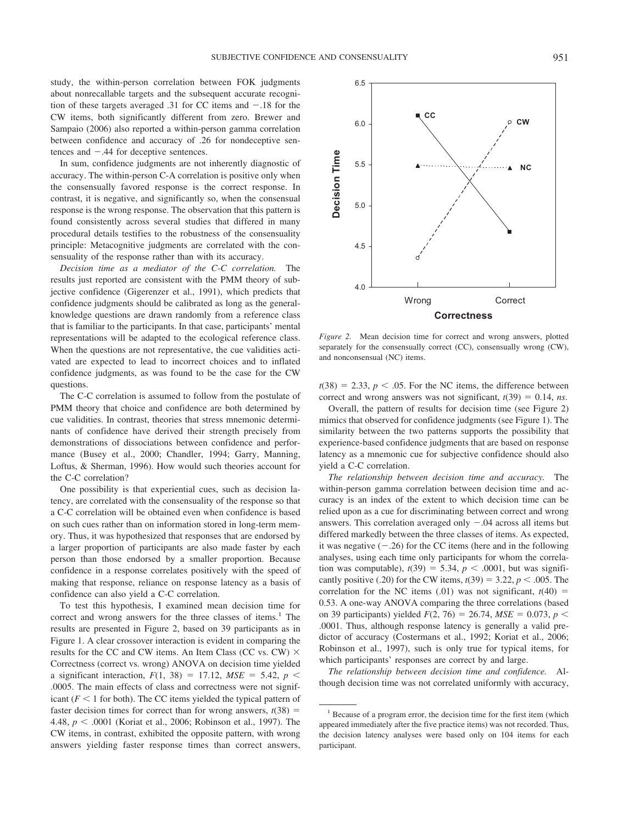study, the within-person correlation between FOK judgments about nonrecallable targets and the subsequent accurate recognition of these targets averaged .31 for CC items and  $-.18$  for the CW items, both significantly different from zero. Brewer and Sampaio (2006) also reported a within-person gamma correlation between confidence and accuracy of .26 for nondeceptive sentences and  $-.44$  for deceptive sentences.

In sum, confidence judgments are not inherently diagnostic of accuracy. The within-person C-A correlation is positive only when the consensually favored response is the correct response. In contrast, it is negative, and significantly so, when the consensual response is the wrong response. The observation that this pattern is found consistently across several studies that differed in many procedural details testifies to the robustness of the consensuality principle: Metacognitive judgments are correlated with the consensuality of the response rather than with its accuracy.

*Decision time as a mediator of the C-C correlation.* The results just reported are consistent with the PMM theory of subjective confidence (Gigerenzer et al., 1991), which predicts that confidence judgments should be calibrated as long as the generalknowledge questions are drawn randomly from a reference class that is familiar to the participants. In that case, participants' mental representations will be adapted to the ecological reference class. When the questions are not representative, the cue validities activated are expected to lead to incorrect choices and to inflated confidence judgments, as was found to be the case for the CW questions.

The C-C correlation is assumed to follow from the postulate of PMM theory that choice and confidence are both determined by cue validities. In contrast, theories that stress mnemonic determinants of confidence have derived their strength precisely from demonstrations of dissociations between confidence and performance (Busey et al., 2000; Chandler, 1994; Garry, Manning, Loftus, & Sherman, 1996). How would such theories account for the C-C correlation?

One possibility is that experiential cues, such as decision latency, are correlated with the consensuality of the response so that a C-C correlation will be obtained even when confidence is based on such cues rather than on information stored in long-term memory. Thus, it was hypothesized that responses that are endorsed by a larger proportion of participants are also made faster by each person than those endorsed by a smaller proportion. Because confidence in a response correlates positively with the speed of making that response, reliance on response latency as a basis of confidence can also yield a C-C correlation.

To test this hypothesis, I examined mean decision time for correct and wrong answers for the three classes of items.<sup>1</sup> The results are presented in Figure 2, based on 39 participants as in Figure 1. A clear crossover interaction is evident in comparing the results for the CC and CW items. An Item Class (CC vs. CW)  $\times$ Correctness (correct vs. wrong) ANOVA on decision time yielded a significant interaction,  $F(1, 38) = 17.12$ ,  $MSE = 5.42$ ,  $p <$ .0005. The main effects of class and correctness were not significant  $(F \leq 1$  for both). The CC items yielded the typical pattern of faster decision times for correct than for wrong answers,  $t(38)$  = 4.48,  $p < .0001$  (Koriat et al., 2006; Robinson et al., 1997). The CW items, in contrast, exhibited the opposite pattern, with wrong answers yielding faster response times than correct answers,



 $t(38) = 2.33$ ,  $p < .05$ . For the NC items, the difference between correct and wrong answers was not significant,  $t(39) = 0.14$ , *ns*.

Overall, the pattern of results for decision time (see Figure 2) mimics that observed for confidence judgments (see Figure 1). The similarity between the two patterns supports the possibility that experience-based confidence judgments that are based on response latency as a mnemonic cue for subjective confidence should also yield a C-C correlation.

*The relationship between decision time and accuracy.* The within-person gamma correlation between decision time and accuracy is an index of the extent to which decision time can be relied upon as a cue for discriminating between correct and wrong answers. This correlation averaged only  $-.04$  across all items but differed markedly between the three classes of items. As expected, it was negative  $(-.26)$  for the CC items (here and in the following analyses, using each time only participants for whom the correlation was computable),  $t(39) = 5.34$ ,  $p < .0001$ , but was significantly positive (.20) for the CW items,  $t(39) = 3.22$ ,  $p < .005$ . The correlation for the NC items  $(0.01)$  was not significant,  $t(40)$  = 0.53. A one-way ANOVA comparing the three correlations (based on 39 participants) yielded  $F(2, 76) = 26.74$ ,  $MSE = 0.073$ ,  $p <$ .0001. Thus, although response latency is generally a valid predictor of accuracy (Costermans et al., 1992; Koriat et al., 2006; Robinson et al., 1997), such is only true for typical items, for which participants' responses are correct by and large.

*The relationship between decision time and confidence.* Although decision time was not correlated uniformly with accuracy,



<sup>&</sup>lt;sup>1</sup> Because of a program error, the decision time for the first item (which appeared immediately after the five practice items) was not recorded. Thus, the decision latency analyses were based only on 104 items for each participant.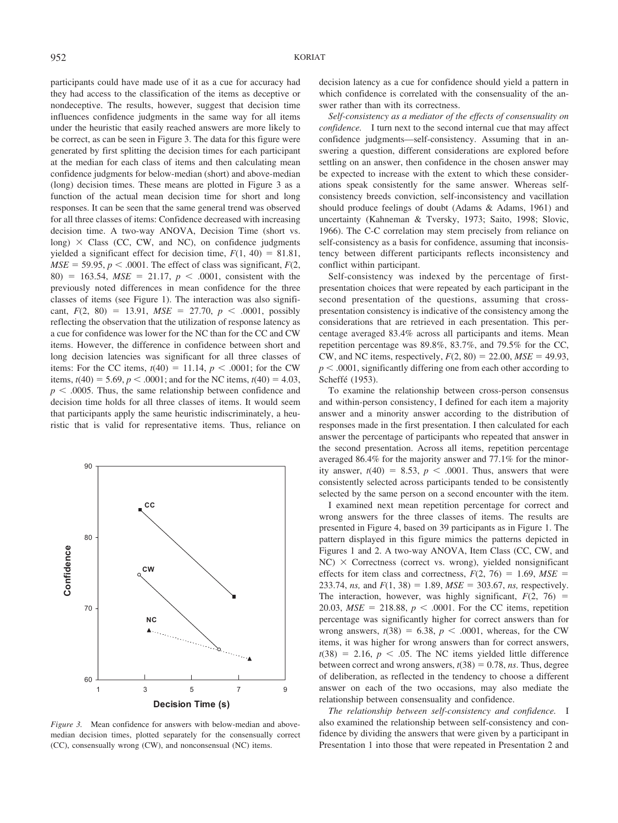participants could have made use of it as a cue for accuracy had they had access to the classification of the items as deceptive or nondeceptive. The results, however, suggest that decision time influences confidence judgments in the same way for all items under the heuristic that easily reached answers are more likely to be correct, as can be seen in Figure 3. The data for this figure were generated by first splitting the decision times for each participant at the median for each class of items and then calculating mean confidence judgments for below-median (short) and above-median (long) decision times. These means are plotted in Figure 3 as a function of the actual mean decision time for short and long responses. It can be seen that the same general trend was observed for all three classes of items: Confidence decreased with increasing decision time. A two-way ANOVA, Decision Time (short vs. long)  $\times$  Class (CC, CW, and NC), on confidence judgments yielded a significant effect for decision time,  $F(1, 40) = 81.81$ ,  $MSE = 59.95$ ,  $p < .0001$ . The effect of class was significant,  $F(2, 0.001)$  $80) = 163.54$ ,  $MSE = 21.17$ ,  $p < .0001$ , consistent with the previously noted differences in mean confidence for the three classes of items (see Figure 1). The interaction was also significant,  $F(2, 80) = 13.91$ ,  $MSE = 27.70$ ,  $p < .0001$ , possibly reflecting the observation that the utilization of response latency as a cue for confidence was lower for the NC than for the CC and CW items. However, the difference in confidence between short and long decision latencies was significant for all three classes of items: For the CC items,  $t(40) = 11.14$ ,  $p < .0001$ ; for the CW items,  $t(40) = 5.69$ ,  $p < .0001$ ; and for the NC items,  $t(40) = 4.03$ ,  $p < .0005$ . Thus, the same relationship between confidence and decision time holds for all three classes of items. It would seem that participants apply the same heuristic indiscriminately, a heuristic that is valid for representative items. Thus, reliance on



*Figure 3.* Mean confidence for answers with below-median and abovemedian decision times, plotted separately for the consensually correct (CC), consensually wrong (CW), and nonconsensual (NC) items.

decision latency as a cue for confidence should yield a pattern in which confidence is correlated with the consensuality of the answer rather than with its correctness.

*Self-consistency as a mediator of the effects of consensuality on confidence.* I turn next to the second internal cue that may affect confidence judgments—self-consistency. Assuming that in answering a question, different considerations are explored before settling on an answer, then confidence in the chosen answer may be expected to increase with the extent to which these considerations speak consistently for the same answer. Whereas selfconsistency breeds conviction, self-inconsistency and vacillation should produce feelings of doubt (Adams & Adams, 1961) and uncertainty (Kahneman & Tversky, 1973; Saito, 1998; Slovic, 1966). The C-C correlation may stem precisely from reliance on self-consistency as a basis for confidence, assuming that inconsistency between different participants reflects inconsistency and conflict within participant.

Self-consistency was indexed by the percentage of firstpresentation choices that were repeated by each participant in the second presentation of the questions, assuming that crosspresentation consistency is indicative of the consistency among the considerations that are retrieved in each presentation. This percentage averaged 83.4% across all participants and items. Mean repetition percentage was 89.8%, 83.7%, and 79.5% for the CC, CW, and NC items, respectively,  $F(2, 80) = 22.00$ ,  $MSE = 49.93$ ,  $p < .0001$ , significantly differing one from each other according to Scheffé (1953).

To examine the relationship between cross-person consensus and within-person consistency, I defined for each item a majority answer and a minority answer according to the distribution of responses made in the first presentation. I then calculated for each answer the percentage of participants who repeated that answer in the second presentation. Across all items, repetition percentage averaged 86.4% for the majority answer and 77.1% for the minority answer,  $t(40) = 8.53$ ,  $p < .0001$ . Thus, answers that were consistently selected across participants tended to be consistently selected by the same person on a second encounter with the item.

I examined next mean repetition percentage for correct and wrong answers for the three classes of items. The results are presented in Figure 4, based on 39 participants as in Figure 1. The pattern displayed in this figure mimics the patterns depicted in Figures 1 and 2. A two-way ANOVA, Item Class (CC, CW, and  $NC)$   $\times$  Correctness (correct vs. wrong), yielded nonsignificant effects for item class and correctness,  $F(2, 76) = 1.69$ ,  $MSE =$ 233.74, *ns*, and  $F(1, 38) = 1.89$ ,  $MSE = 303.67$ , *ns*, respectively. The interaction, however, was highly significant,  $F(2, 76)$  = 20.03,  $MSE = 218.88$ ,  $p < .0001$ . For the CC items, repetition percentage was significantly higher for correct answers than for wrong answers,  $t(38) = 6.38$ ,  $p < .0001$ , whereas, for the CW items, it was higher for wrong answers than for correct answers,  $t(38) = 2.16$ ,  $p < .05$ . The NC items yielded little difference between correct and wrong answers,  $t(38) = 0.78$ , *ns*. Thus, degree of deliberation, as reflected in the tendency to choose a different answer on each of the two occasions, may also mediate the relationship between consensuality and confidence.

*The relationship between self-consistency and confidence.* I also examined the relationship between self-consistency and confidence by dividing the answers that were given by a participant in Presentation 1 into those that were repeated in Presentation 2 and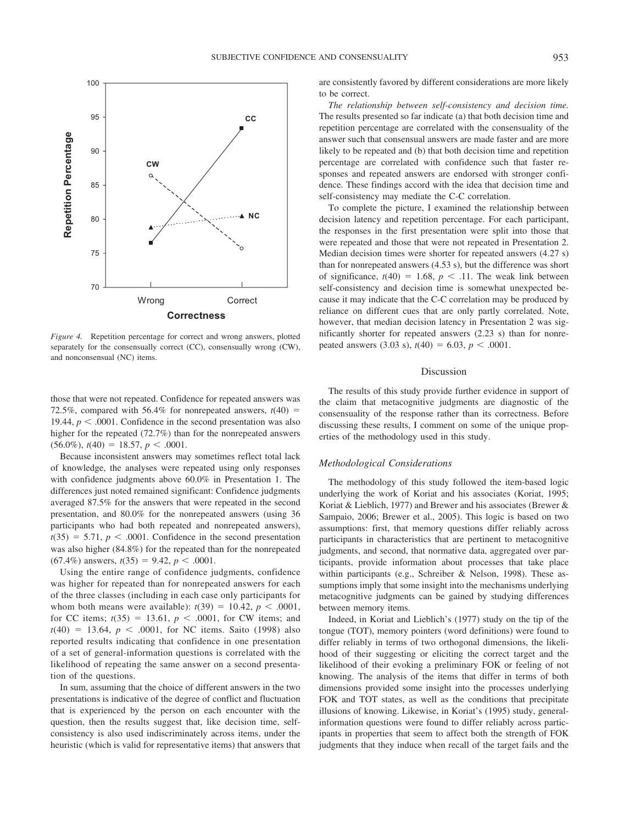

*Figure 4.* Repetition percentage for correct and wrong answers, plotted separately for the consensually correct (CC), consensually wrong (CW), and nonconsensual (NC) items.

those that were not repeated. Confidence for repeated answers was 72.5%, compared with 56.4% for nonrepeated answers,  $t(40)$  = 19.44,  $p < .0001$ . Confidence in the second presentation was also higher for the repeated (72.7%) than for the nonrepeated answers  $(56.0\%)$ ,  $t(40) = 18.57$ ,  $p < .0001$ .

Because inconsistent answers may sometimes reflect total lack of knowledge, the analyses were repeated using only responses with confidence judgments above 60.0% in Presentation 1. The differences just noted remained significant: Confidence judgments averaged 87.5% for the answers that were repeated in the second presentation, and 80.0% for the nonrepeated answers (using 36 participants who had both repeated and nonrepeated answers),  $t(35) = 5.71$ ,  $p < .0001$ . Confidence in the second presentation was also higher (84.8%) for the repeated than for the nonrepeated  $(67.4\%)$  answers,  $t(35) = 9.42$ ,  $p < .0001$ .

Using the entire range of confidence judgments, confidence was higher for repeated than for nonrepeated answers for each of the three classes (including in each case only participants for whom both means were available):  $t(39) = 10.42$ ,  $p < .0001$ , for CC items;  $t(35) = 13.61$ ,  $p < .0001$ , for CW items; and  $t(40) = 13.64, p < .0001$ , for NC items. Saito (1998) also reported results indicating that confidence in one presentation of a set of general-information questions is correlated with the likelihood of repeating the same answer on a second presentation of the questions.

In sum, assuming that the choice of different answers in the two presentations is indicative of the degree of conflict and fluctuation that is experienced by the person on each encounter with the question, then the results suggest that, like decision time, selfconsistency is also used indiscriminately across items, under the heuristic (which is valid for representative items) that answers that are consistently favored by different considerations are more likely to be correct.

*The relationship between self-consistency and decision time.* The results presented so far indicate (a) that both decision time and repetition percentage are correlated with the consensuality of the answer such that consensual answers are made faster and are more likely to be repeated and (b) that both decision time and repetition percentage are correlated with confidence such that faster responses and repeated answers are endorsed with stronger confidence. These findings accord with the idea that decision time and self-consistency may mediate the C-C correlation.

To complete the picture, I examined the relationship between decision latency and repetition percentage. For each participant, the responses in the first presentation were split into those that were repeated and those that were not repeated in Presentation 2. Median decision times were shorter for repeated answers (4.27 s) than for nonrepeated answers (4.53 s), but the difference was short of significance,  $t(40) = 1.68$ ,  $p < .11$ . The weak link between self-consistency and decision time is somewhat unexpected because it may indicate that the C-C correlation may be produced by reliance on different cues that are only partly correlated. Note, however, that median decision latency in Presentation 2 was significantly shorter for repeated answers (2.23 s) than for nonrepeated answers  $(3.03 \text{ s})$ ,  $t(40) = 6.03$ ,  $p < .0001$ .

### Discussion

The results of this study provide further evidence in support of the claim that metacognitive judgments are diagnostic of the consensuality of the response rather than its correctness. Before discussing these results, I comment on some of the unique properties of the methodology used in this study.

#### *Methodological Considerations*

The methodology of this study followed the item-based logic underlying the work of Koriat and his associates (Koriat, 1995; Koriat & Lieblich, 1977) and Brewer and his associates (Brewer & Sampaio, 2006; Brewer et al., 2005). This logic is based on two assumptions: first, that memory questions differ reliably across participants in characteristics that are pertinent to metacognitive judgments, and second, that normative data, aggregated over participants, provide information about processes that take place within participants (e.g., Schreiber & Nelson, 1998). These assumptions imply that some insight into the mechanisms underlying metacognitive judgments can be gained by studying differences between memory items.

Indeed, in Koriat and Lieblich's (1977) study on the tip of the tongue (TOT), memory pointers (word definitions) were found to differ reliably in terms of two orthogonal dimensions, the likelihood of their suggesting or eliciting the correct target and the likelihood of their evoking a preliminary FOK or feeling of not knowing. The analysis of the items that differ in terms of both dimensions provided some insight into the processes underlying FOK and TOT states, as well as the conditions that precipitate illusions of knowing. Likewise, in Koriat's (1995) study, generalinformation questions were found to differ reliably across participants in properties that seem to affect both the strength of FOK judgments that they induce when recall of the target fails and the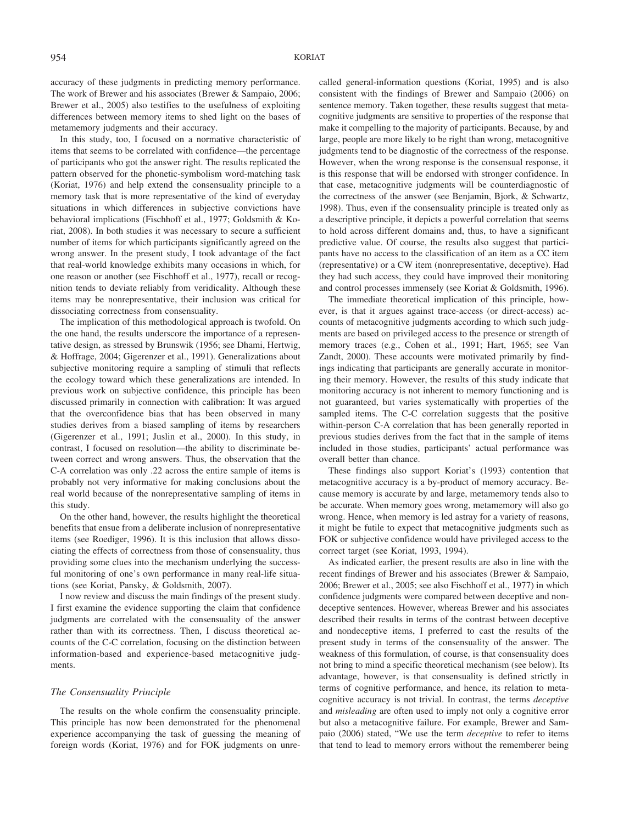accuracy of these judgments in predicting memory performance. The work of Brewer and his associates (Brewer & Sampaio, 2006; Brewer et al., 2005) also testifies to the usefulness of exploiting differences between memory items to shed light on the bases of metamemory judgments and their accuracy.

In this study, too, I focused on a normative characteristic of items that seems to be correlated with confidence—the percentage of participants who got the answer right. The results replicated the pattern observed for the phonetic-symbolism word-matching task (Koriat, 1976) and help extend the consensuality principle to a memory task that is more representative of the kind of everyday situations in which differences in subjective convictions have behavioral implications (Fischhoff et al., 1977; Goldsmith & Koriat, 2008). In both studies it was necessary to secure a sufficient number of items for which participants significantly agreed on the wrong answer. In the present study, I took advantage of the fact that real-world knowledge exhibits many occasions in which, for one reason or another (see Fischhoff et al., 1977), recall or recognition tends to deviate reliably from veridicality. Although these items may be nonrepresentative, their inclusion was critical for dissociating correctness from consensuality.

The implication of this methodological approach is twofold. On the one hand, the results underscore the importance of a representative design, as stressed by Brunswik (1956; see Dhami, Hertwig, & Hoffrage, 2004; Gigerenzer et al., 1991). Generalizations about subjective monitoring require a sampling of stimuli that reflects the ecology toward which these generalizations are intended. In previous work on subjective confidence, this principle has been discussed primarily in connection with calibration: It was argued that the overconfidence bias that has been observed in many studies derives from a biased sampling of items by researchers (Gigerenzer et al., 1991; Juslin et al., 2000). In this study, in contrast, I focused on resolution—the ability to discriminate between correct and wrong answers. Thus, the observation that the C-A correlation was only .22 across the entire sample of items is probably not very informative for making conclusions about the real world because of the nonrepresentative sampling of items in this study.

On the other hand, however, the results highlight the theoretical benefits that ensue from a deliberate inclusion of nonrepresentative items (see Roediger, 1996). It is this inclusion that allows dissociating the effects of correctness from those of consensuality, thus providing some clues into the mechanism underlying the successful monitoring of one's own performance in many real-life situations (see Koriat, Pansky, & Goldsmith, 2007).

I now review and discuss the main findings of the present study. I first examine the evidence supporting the claim that confidence judgments are correlated with the consensuality of the answer rather than with its correctness. Then, I discuss theoretical accounts of the C-C correlation, focusing on the distinction between information-based and experience-based metacognitive judgments.

#### *The Consensuality Principle*

The results on the whole confirm the consensuality principle. This principle has now been demonstrated for the phenomenal experience accompanying the task of guessing the meaning of foreign words (Koriat, 1976) and for FOK judgments on unrecalled general-information questions (Koriat, 1995) and is also consistent with the findings of Brewer and Sampaio (2006) on sentence memory. Taken together, these results suggest that metacognitive judgments are sensitive to properties of the response that make it compelling to the majority of participants. Because, by and large, people are more likely to be right than wrong, metacognitive judgments tend to be diagnostic of the correctness of the response. However, when the wrong response is the consensual response, it is this response that will be endorsed with stronger confidence. In that case, metacognitive judgments will be counterdiagnostic of the correctness of the answer (see Benjamin, Bjork, & Schwartz, 1998). Thus, even if the consensuality principle is treated only as a descriptive principle, it depicts a powerful correlation that seems to hold across different domains and, thus, to have a significant predictive value. Of course, the results also suggest that participants have no access to the classification of an item as a CC item (representative) or a CW item (nonrepresentative, deceptive). Had they had such access, they could have improved their monitoring and control processes immensely (see Koriat & Goldsmith, 1996).

The immediate theoretical implication of this principle, however, is that it argues against trace-access (or direct-access) accounts of metacognitive judgments according to which such judgments are based on privileged access to the presence or strength of memory traces (e.g., Cohen et al., 1991; Hart, 1965; see Van Zandt, 2000). These accounts were motivated primarily by findings indicating that participants are generally accurate in monitoring their memory. However, the results of this study indicate that monitoring accuracy is not inherent to memory functioning and is not guaranteed, but varies systematically with properties of the sampled items. The C-C correlation suggests that the positive within-person C-A correlation that has been generally reported in previous studies derives from the fact that in the sample of items included in those studies, participants' actual performance was overall better than chance.

These findings also support Koriat's (1993) contention that metacognitive accuracy is a by-product of memory accuracy. Because memory is accurate by and large, metamemory tends also to be accurate. When memory goes wrong, metamemory will also go wrong. Hence, when memory is led astray for a variety of reasons, it might be futile to expect that metacognitive judgments such as FOK or subjective confidence would have privileged access to the correct target (see Koriat, 1993, 1994).

As indicated earlier, the present results are also in line with the recent findings of Brewer and his associates (Brewer & Sampaio, 2006; Brewer et al., 2005; see also Fischhoff et al., 1977) in which confidence judgments were compared between deceptive and nondeceptive sentences. However, whereas Brewer and his associates described their results in terms of the contrast between deceptive and nondeceptive items, I preferred to cast the results of the present study in terms of the consensuality of the answer. The weakness of this formulation, of course, is that consensuality does not bring to mind a specific theoretical mechanism (see below). Its advantage, however, is that consensuality is defined strictly in terms of cognitive performance, and hence, its relation to metacognitive accuracy is not trivial. In contrast, the terms *deceptive* and *misleading* are often used to imply not only a cognitive error but also a metacognitive failure. For example, Brewer and Sampaio (2006) stated, "We use the term *deceptive* to refer to items that tend to lead to memory errors without the rememberer being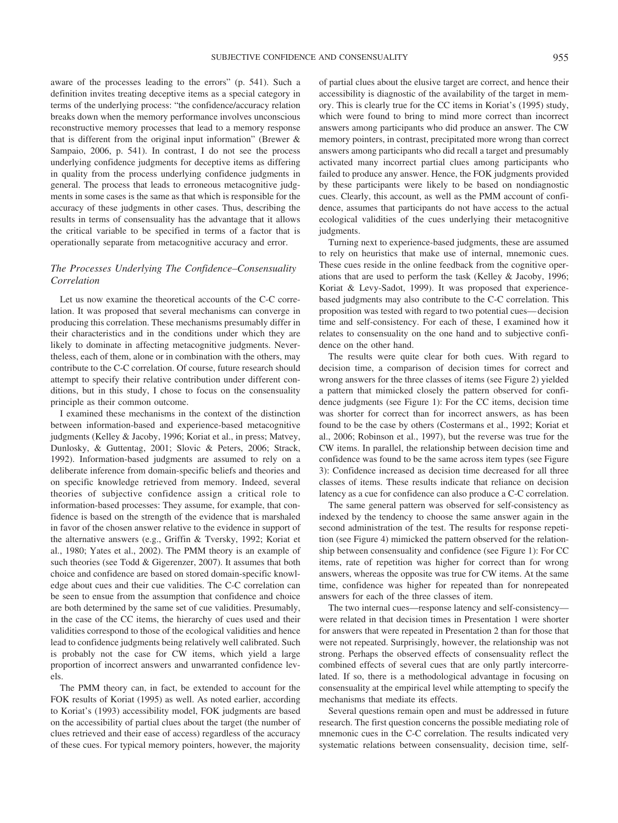aware of the processes leading to the errors" (p. 541). Such a definition invites treating deceptive items as a special category in terms of the underlying process: "the confidence/accuracy relation breaks down when the memory performance involves unconscious reconstructive memory processes that lead to a memory response that is different from the original input information" (Brewer & Sampaio, 2006, p. 541). In contrast, I do not see the process underlying confidence judgments for deceptive items as differing in quality from the process underlying confidence judgments in general. The process that leads to erroneous metacognitive judgments in some cases is the same as that which is responsible for the accuracy of these judgments in other cases. Thus, describing the results in terms of consensuality has the advantage that it allows the critical variable to be specified in terms of a factor that is operationally separate from metacognitive accuracy and error.

## *The Processes Underlying The Confidence–Consensuality Correlation*

Let us now examine the theoretical accounts of the C-C correlation. It was proposed that several mechanisms can converge in producing this correlation. These mechanisms presumably differ in their characteristics and in the conditions under which they are likely to dominate in affecting metacognitive judgments. Nevertheless, each of them, alone or in combination with the others, may contribute to the C-C correlation. Of course, future research should attempt to specify their relative contribution under different conditions, but in this study, I chose to focus on the consensuality principle as their common outcome.

I examined these mechanisms in the context of the distinction between information-based and experience-based metacognitive judgments (Kelley & Jacoby, 1996; Koriat et al., in press; Matvey, Dunlosky, & Guttentag, 2001; Slovic & Peters, 2006; Strack, 1992). Information-based judgments are assumed to rely on a deliberate inference from domain-specific beliefs and theories and on specific knowledge retrieved from memory. Indeed, several theories of subjective confidence assign a critical role to information-based processes: They assume, for example, that confidence is based on the strength of the evidence that is marshaled in favor of the chosen answer relative to the evidence in support of the alternative answers (e.g., Griffin & Tversky, 1992; Koriat et al., 1980; Yates et al., 2002). The PMM theory is an example of such theories (see Todd & Gigerenzer, 2007). It assumes that both choice and confidence are based on stored domain-specific knowledge about cues and their cue validities. The C-C correlation can be seen to ensue from the assumption that confidence and choice are both determined by the same set of cue validities. Presumably, in the case of the CC items, the hierarchy of cues used and their validities correspond to those of the ecological validities and hence lead to confidence judgments being relatively well calibrated. Such is probably not the case for CW items, which yield a large proportion of incorrect answers and unwarranted confidence levels.

The PMM theory can, in fact, be extended to account for the FOK results of Koriat (1995) as well. As noted earlier, according to Koriat's (1993) accessibility model, FOK judgments are based on the accessibility of partial clues about the target (the number of clues retrieved and their ease of access) regardless of the accuracy of these cues. For typical memory pointers, however, the majority of partial clues about the elusive target are correct, and hence their accessibility is diagnostic of the availability of the target in memory. This is clearly true for the CC items in Koriat's (1995) study, which were found to bring to mind more correct than incorrect answers among participants who did produce an answer. The CW memory pointers, in contrast, precipitated more wrong than correct answers among participants who did recall a target and presumably activated many incorrect partial clues among participants who failed to produce any answer. Hence, the FOK judgments provided by these participants were likely to be based on nondiagnostic cues. Clearly, this account, as well as the PMM account of confidence, assumes that participants do not have access to the actual ecological validities of the cues underlying their metacognitive judgments.

Turning next to experience-based judgments, these are assumed to rely on heuristics that make use of internal, mnemonic cues. These cues reside in the online feedback from the cognitive operations that are used to perform the task (Kelley & Jacoby, 1996; Koriat & Levy-Sadot, 1999). It was proposed that experiencebased judgments may also contribute to the C-C correlation. This proposition was tested with regard to two potential cues— decision time and self-consistency. For each of these, I examined how it relates to consensuality on the one hand and to subjective confidence on the other hand.

The results were quite clear for both cues. With regard to decision time, a comparison of decision times for correct and wrong answers for the three classes of items (see Figure 2) yielded a pattern that mimicked closely the pattern observed for confidence judgments (see Figure 1): For the CC items, decision time was shorter for correct than for incorrect answers, as has been found to be the case by others (Costermans et al., 1992; Koriat et al., 2006; Robinson et al., 1997), but the reverse was true for the CW items. In parallel, the relationship between decision time and confidence was found to be the same across item types (see Figure 3): Confidence increased as decision time decreased for all three classes of items. These results indicate that reliance on decision latency as a cue for confidence can also produce a C-C correlation.

The same general pattern was observed for self-consistency as indexed by the tendency to choose the same answer again in the second administration of the test. The results for response repetition (see Figure 4) mimicked the pattern observed for the relationship between consensuality and confidence (see Figure 1): For CC items, rate of repetition was higher for correct than for wrong answers, whereas the opposite was true for CW items. At the same time, confidence was higher for repeated than for nonrepeated answers for each of the three classes of item.

The two internal cues—response latency and self-consistency were related in that decision times in Presentation 1 were shorter for answers that were repeated in Presentation 2 than for those that were not repeated. Surprisingly, however, the relationship was not strong. Perhaps the observed effects of consensuality reflect the combined effects of several cues that are only partly intercorrelated. If so, there is a methodological advantage in focusing on consensuality at the empirical level while attempting to specify the mechanisms that mediate its effects.

Several questions remain open and must be addressed in future research. The first question concerns the possible mediating role of mnemonic cues in the C-C correlation. The results indicated very systematic relations between consensuality, decision time, self-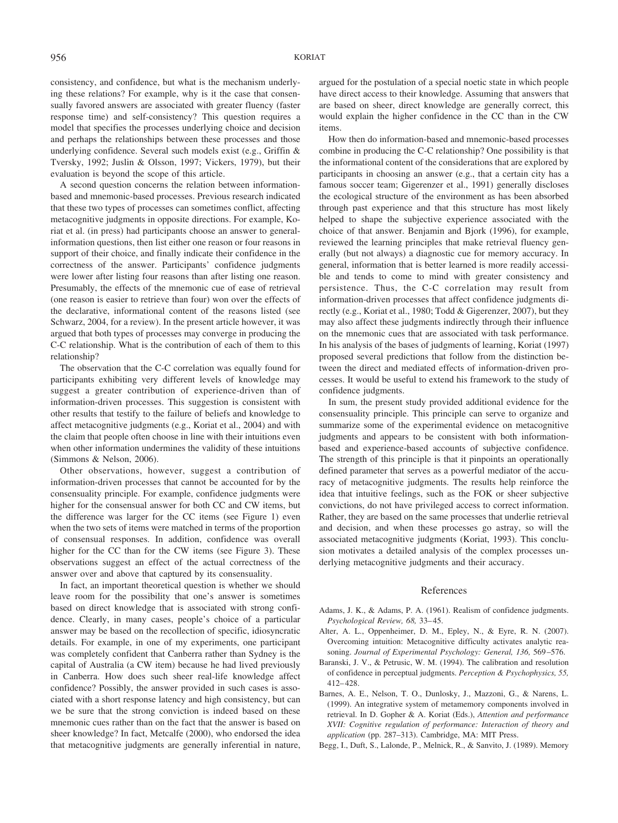consistency, and confidence, but what is the mechanism underlying these relations? For example, why is it the case that consensually favored answers are associated with greater fluency (faster response time) and self-consistency? This question requires a model that specifies the processes underlying choice and decision and perhaps the relationships between these processes and those underlying confidence. Several such models exist (e.g., Griffin & Tversky, 1992; Juslin & Olsson, 1997; Vickers, 1979), but their evaluation is beyond the scope of this article.

A second question concerns the relation between informationbased and mnemonic-based processes. Previous research indicated that these two types of processes can sometimes conflict, affecting metacognitive judgments in opposite directions. For example, Koriat et al. (in press) had participants choose an answer to generalinformation questions, then list either one reason or four reasons in support of their choice, and finally indicate their confidence in the correctness of the answer. Participants' confidence judgments were lower after listing four reasons than after listing one reason. Presumably, the effects of the mnemonic cue of ease of retrieval (one reason is easier to retrieve than four) won over the effects of the declarative, informational content of the reasons listed (see Schwarz, 2004, for a review). In the present article however, it was argued that both types of processes may converge in producing the C-C relationship. What is the contribution of each of them to this relationship?

The observation that the C-C correlation was equally found for participants exhibiting very different levels of knowledge may suggest a greater contribution of experience-driven than of information-driven processes. This suggestion is consistent with other results that testify to the failure of beliefs and knowledge to affect metacognitive judgments (e.g., Koriat et al., 2004) and with the claim that people often choose in line with their intuitions even when other information undermines the validity of these intuitions (Simmons & Nelson, 2006).

Other observations, however, suggest a contribution of information-driven processes that cannot be accounted for by the consensuality principle. For example, confidence judgments were higher for the consensual answer for both CC and CW items, but the difference was larger for the CC items (see Figure 1) even when the two sets of items were matched in terms of the proportion of consensual responses. In addition, confidence was overall higher for the CC than for the CW items (see Figure 3). These observations suggest an effect of the actual correctness of the answer over and above that captured by its consensuality.

In fact, an important theoretical question is whether we should leave room for the possibility that one's answer is sometimes based on direct knowledge that is associated with strong confidence. Clearly, in many cases, people's choice of a particular answer may be based on the recollection of specific, idiosyncratic details. For example, in one of my experiments, one participant was completely confident that Canberra rather than Sydney is the capital of Australia (a CW item) because he had lived previously in Canberra. How does such sheer real-life knowledge affect confidence? Possibly, the answer provided in such cases is associated with a short response latency and high consistency, but can we be sure that the strong conviction is indeed based on these mnemonic cues rather than on the fact that the answer is based on sheer knowledge? In fact, Metcalfe (2000), who endorsed the idea that metacognitive judgments are generally inferential in nature, argued for the postulation of a special noetic state in which people have direct access to their knowledge. Assuming that answers that are based on sheer, direct knowledge are generally correct, this would explain the higher confidence in the CC than in the CW items.

How then do information-based and mnemonic-based processes combine in producing the C-C relationship? One possibility is that the informational content of the considerations that are explored by participants in choosing an answer (e.g., that a certain city has a famous soccer team; Gigerenzer et al., 1991) generally discloses the ecological structure of the environment as has been absorbed through past experience and that this structure has most likely helped to shape the subjective experience associated with the choice of that answer. Benjamin and Bjork (1996), for example, reviewed the learning principles that make retrieval fluency generally (but not always) a diagnostic cue for memory accuracy. In general, information that is better learned is more readily accessible and tends to come to mind with greater consistency and persistence. Thus, the C-C correlation may result from information-driven processes that affect confidence judgments directly (e.g., Koriat et al., 1980; Todd & Gigerenzer, 2007), but they may also affect these judgments indirectly through their influence on the mnemonic cues that are associated with task performance. In his analysis of the bases of judgments of learning, Koriat (1997) proposed several predictions that follow from the distinction between the direct and mediated effects of information-driven processes. It would be useful to extend his framework to the study of confidence judgments.

In sum, the present study provided additional evidence for the consensuality principle. This principle can serve to organize and summarize some of the experimental evidence on metacognitive judgments and appears to be consistent with both informationbased and experience-based accounts of subjective confidence. The strength of this principle is that it pinpoints an operationally defined parameter that serves as a powerful mediator of the accuracy of metacognitive judgments. The results help reinforce the idea that intuitive feelings, such as the FOK or sheer subjective convictions, do not have privileged access to correct information. Rather, they are based on the same processes that underlie retrieval and decision, and when these processes go astray, so will the associated metacognitive judgments (Koriat, 1993). This conclusion motivates a detailed analysis of the complex processes underlying metacognitive judgments and their accuracy.

#### References

- Adams, J. K., & Adams, P. A. (1961). Realism of confidence judgments. *Psychological Review, 68,* 33– 45.
- Alter, A. L., Oppenheimer, D. M., Epley, N., & Eyre, R. N. (2007). Overcoming intuition: Metacognitive difficulty activates analytic reasoning. *Journal of Experimental Psychology: General, 136,* 569 –576.
- Baranski, J. V., & Petrusic, W. M. (1994). The calibration and resolution of confidence in perceptual judgments. *Perception & Psychophysics, 55,* 412– 428.
- Barnes, A. E., Nelson, T. O., Dunlosky, J., Mazzoni, G., & Narens, L. (1999). An integrative system of metamemory components involved in retrieval. In D. Gopher & A. Koriat (Eds.), *Attention and performance XVII: Cognitive regulation of performance: Interaction of theory and application* (pp. 287–313). Cambridge, MA: MIT Press.
- Begg, I., Duft, S., Lalonde, P., Melnick, R., & Sanvito, J. (1989). Memory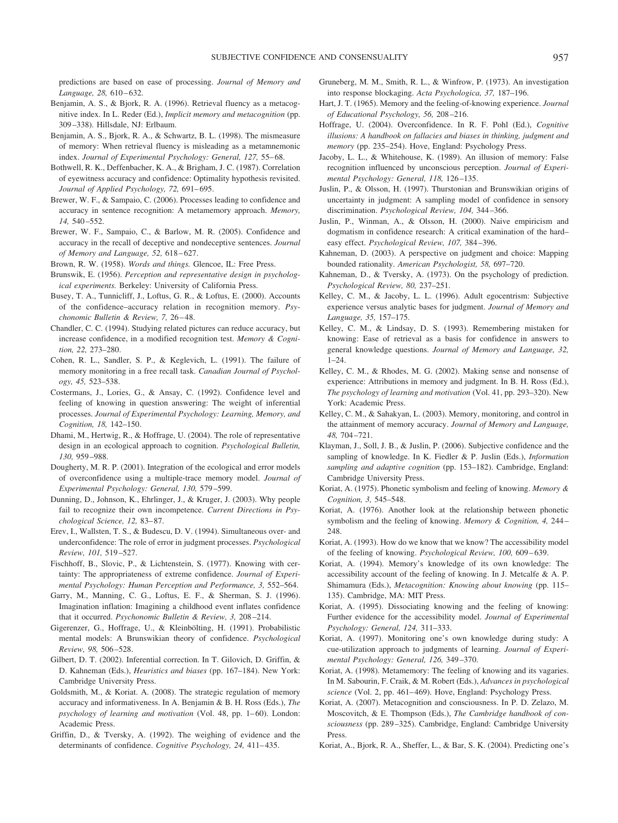predictions are based on ease of processing. *Journal of Memory and* Language, 28, 610-632.

- Benjamin, A. S., & Bjork, R. A. (1996). Retrieval fluency as a metacognitive index. In L. Reder (Ed.), *Implicit memory and metacognition* (pp. 309 –338). Hillsdale, NJ: Erlbaum.
- Benjamin, A. S., Bjork, R. A., & Schwartz, B. L. (1998). The mismeasure of memory: When retrieval fluency is misleading as a metamnemonic index. *Journal of Experimental Psychology: General, 127, 55*–68.
- Bothwell, R. K., Deffenbacher, K. A., & Brigham, J. C. (1987). Correlation of eyewitness accuracy and confidence: Optimality hypothesis revisited. Journal of Applied Psychology, 72, 691-695.
- Brewer, W. F., & Sampaio, C. (2006). Processes leading to confidence and accuracy in sentence recognition: A metamemory approach. *Memory, 14,* 540 –552.
- Brewer, W. F., Sampaio, C., & Barlow, M. R. (2005). Confidence and accuracy in the recall of deceptive and nondeceptive sentences. *Journal of Memory and Language, 52,* 618 – 627.
- Brown, R. W. (1958). *Words and things.* Glencoe, IL: Free Press.
- Brunswik, E. (1956). *Perception and representative design in psychological experiments.* Berkeley: University of California Press.
- Busey, T. A., Tunnicliff, J., Loftus, G. R., & Loftus, E. (2000). Accounts of the confidence–accuracy relation in recognition memory. *Psychonomic Bulletin & Review, 7,* 26 – 48.
- Chandler, C. C. (1994). Studying related pictures can reduce accuracy, but increase confidence, in a modified recognition test. *Memory & Cognition, 22,* 273–280.
- Cohen, R. L., Sandler, S. P., & Keglevich, L. (1991). The failure of memory monitoring in a free recall task. *Canadian Journal of Psychology, 45,* 523–538.
- Costermans, J., Lories, G., & Ansay, C. (1992). Confidence level and feeling of knowing in question answering: The weight of inferential processes. *Journal of Experimental Psychology: Learning, Memory, and Cognition, 18,* 142–150.
- Dhami, M., Hertwig, R., & Hoffrage, U. (2004). The role of representative design in an ecological approach to cognition. *Psychological Bulletin, 130,* 959 –988.
- Dougherty, M. R. P. (2001). Integration of the ecological and error models of overconfidence using a multiple-trace memory model. *Journal of Experimental Psychology: General, 130,* 579 –599.
- Dunning, D., Johnson, K., Ehrlinger, J., & Kruger, J. (2003). Why people fail to recognize their own incompetence. *Current Directions in Psychological Science, 12,* 83– 87.
- Erev, I., Wallsten, T. S., & Budescu, D. V. (1994). Simultaneous over- and underconfidence: The role of error in judgment processes. *Psychological Review, 101,* 519 –527.
- Fischhoff, B., Slovic, P., & Lichtenstein, S. (1977). Knowing with certainty: The appropriateness of extreme confidence. *Journal of Experimental Psychology: Human Perception and Performance, 3,* 552–564.
- Garry, M., Manning, C. G., Loftus, E. F., & Sherman, S. J. (1996). Imagination inflation: Imagining a childhood event inflates confidence that it occurred. *Psychonomic Bulletin & Review, 3,* 208 –214.
- Gigerenzer, G., Hoffrage, U., & Kleinbölting, H. (1991). Probabilistic mental models: A Brunswikian theory of confidence. *Psychological Review, 98,* 506 –528.
- Gilbert, D. T. (2002). Inferential correction. In T. Gilovich, D. Griffin, & D. Kahneman (Eds.), *Heuristics and biases* (pp. 167–184). New York: Cambridge University Press.
- Goldsmith, M., & Koriat. A. (2008). The strategic regulation of memory accuracy and informativeness. In A. Benjamin & B. H. Ross (Eds.), *The psychology of learning and motivation* (Vol. 48, pp. 1–60). London: Academic Press.
- Griffin, D., & Tversky, A. (1992). The weighing of evidence and the determinants of confidence. *Cognitive Psychology, 24,* 411– 435.
- Gruneberg, M. M., Smith, R. L., & Winfrow, P. (1973). An investigation into response blockaging. *Acta Psychologica, 37,* 187–196.
- Hart, J. T. (1965). Memory and the feeling-of-knowing experience. *Journal of Educational Psychology, 56,* 208 –216.
- Hoffrage, U. (2004). Overconfidence. In R. F. Pohl (Ed.), *Cognitive illusions: A handbook on fallacies and biases in thinking, judgment and memory* (pp. 235–254). Hove, England: Psychology Press.
- Jacoby, L. L., & Whitehouse, K. (1989). An illusion of memory: False recognition influenced by unconscious perception. *Journal of Experimental Psychology: General, 118,* 126 –135.
- Juslin, P., & Olsson, H. (1997). Thurstonian and Brunswikian origins of uncertainty in judgment: A sampling model of confidence in sensory discrimination. *Psychological Review, 104,* 344 –366.
- Juslin, P., Winman, A., & Olsson, H. (2000). Naive empiricism and dogmatism in confidence research: A critical examination of the hard– easy effect. *Psychological Review, 107,* 384 –396.
- Kahneman, D. (2003). A perspective on judgment and choice: Mapping bounded rationality. *American Psychologist, 58,* 697–720.
- Kahneman, D., & Tversky, A. (1973). On the psychology of prediction. *Psychological Review, 80,* 237–251.
- Kelley, C. M., & Jacoby, L. L. (1996). Adult egocentrism: Subjective experience versus analytic bases for judgment. *Journal of Memory and Language, 35,* 157–175.
- Kelley, C. M., & Lindsay, D. S. (1993). Remembering mistaken for knowing: Ease of retrieval as a basis for confidence in answers to general knowledge questions. *Journal of Memory and Language, 32,* 1–24.
- Kelley, C. M., & Rhodes, M. G. (2002). Making sense and nonsense of experience: Attributions in memory and judgment. In B. H. Ross (Ed.), *The psychology of learning and motivation* (Vol. 41, pp. 293–320). New York: Academic Press.
- Kelley, C. M., & Sahakyan, L. (2003). Memory, monitoring, and control in the attainment of memory accuracy. *Journal of Memory and Language, 48,* 704 –721.
- Klayman, J., Soll, J. B., & Juslin, P. (2006). Subjective confidence and the sampling of knowledge. In K. Fiedler & P. Juslin (Eds.), *Information sampling and adaptive cognition* (pp. 153–182). Cambridge, England: Cambridge University Press.
- Koriat, A. (1975). Phonetic symbolism and feeling of knowing. *Memory & Cognition, 3,* 545–548.
- Koriat, A. (1976). Another look at the relationship between phonetic symbolism and the feeling of knowing. *Memory & Cognition, 4,* 244 – 248.
- Koriat, A. (1993). How do we know that we know? The accessibility model of the feeling of knowing. *Psychological Review, 100,* 609 – 639.
- Koriat, A. (1994). Memory's knowledge of its own knowledge: The accessibility account of the feeling of knowing. In J. Metcalfe & A. P. Shimamura (Eds.), *Metacognition: Knowing about knowing* (pp. 115– 135). Cambridge, MA: MIT Press.
- Koriat, A. (1995). Dissociating knowing and the feeling of knowing: Further evidence for the accessibility model. *Journal of Experimental Psychology: General, 124,* 311–333.
- Koriat, A. (1997). Monitoring one's own knowledge during study: A cue-utilization approach to judgments of learning. *Journal of Experimental Psychology: General, 126,* 349 –370.
- Koriat, A. (1998). Metamemory: The feeling of knowing and its vagaries. In M. Sabourin, F. Craik, & M. Robert (Eds.), *Advances in psychological science* (Vol. 2, pp. 461– 469). Hove, England: Psychology Press.
- Koriat, A. (2007). Metacognition and consciousness. In P. D. Zelazo, M. Moscovitch, & E. Thompson (Eds.), *The Cambridge handbook of consciousness* (pp. 289 –325). Cambridge, England: Cambridge University Press.
- Koriat, A., Bjork, R. A., Sheffer, L., & Bar, S. K. (2004). Predicting one's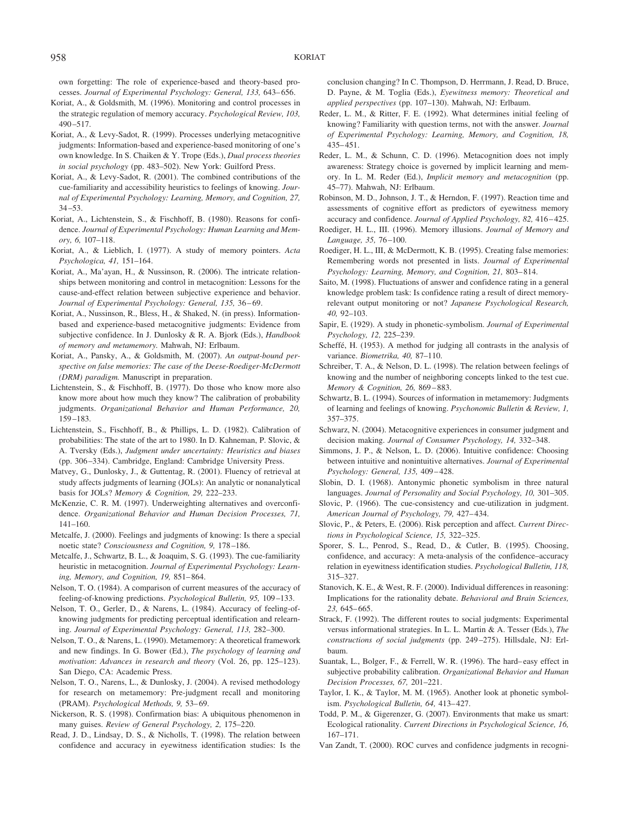own forgetting: The role of experience-based and theory-based processes. *Journal of Experimental Psychology: General, 133, 643-656.* 

- Koriat, A., & Goldsmith, M. (1996). Monitoring and control processes in the strategic regulation of memory accuracy. *Psychological Review, 103,*  $490 - 517$ .
- Koriat, A., & Levy-Sadot, R. (1999). Processes underlying metacognitive judgments: Information-based and experience-based monitoring of one's own knowledge. In S. Chaiken & Y. Trope (Eds.), *Dual process theories in social psychology* (pp. 483–502). New York: Guilford Press.
- Koriat, A., & Levy-Sadot, R. (2001). The combined contributions of the cue-familiarity and accessibility heuristics to feelings of knowing. *Journal of Experimental Psychology: Learning, Memory, and Cognition, 27,*  $34 - 53.$
- Koriat, A., Lichtenstein, S., & Fischhoff, B. (1980). Reasons for confidence. *Journal of Experimental Psychology: Human Learning and Memory, 6,* 107–118.
- Koriat, A., & Lieblich, I. (1977). A study of memory pointers. *Acta Psychologica, 41,* 151–164.
- Koriat, A., Ma'ayan, H., & Nussinson, R. (2006). The intricate relationships between monitoring and control in metacognition: Lessons for the cause-and-effect relation between subjective experience and behavior. *Journal of Experimental Psychology: General, 135,* 36 – 69.
- Koriat, A., Nussinson, R., Bless, H., & Shaked, N. (in press). Informationbased and experience-based metacognitive judgments: Evidence from subjective confidence. In J. Dunlosky & R. A. Bjork (Eds.), *Handbook of memory and metamemory.* Mahwah, NJ: Erlbaum.
- Koriat, A., Pansky, A., & Goldsmith, M. (2007). *An output-bound perspective on false memories: The case of the Deese-Roediger-McDermott (DRM) paradigm.* Manuscript in preparation.
- Lichtenstein, S., & Fischhoff, B. (1977). Do those who know more also know more about how much they know? The calibration of probability judgments. *Organizational Behavior and Human Performance, 20,* 159 –183.
- Lichtenstein, S., Fischhoff, B., & Phillips, L. D. (1982). Calibration of probabilities: The state of the art to 1980. In D. Kahneman, P. Slovic, & A. Tversky (Eds.), *Judgment under uncertainty: Heuristics and biases* (pp. 306 –334). Cambridge, England: Cambridge University Press.
- Matvey, G., Dunlosky, J., & Guttentag, R. (2001). Fluency of retrieval at study affects judgments of learning (JOLs): An analytic or nonanalytical basis for JOLs? *Memory & Cognition, 29,* 222–233.
- McKenzie, C. R. M. (1997). Underweighting alternatives and overconfidence. *Organizational Behavior and Human Decision Processes, 71,* 141–160.
- Metcalfe, J. (2000). Feelings and judgments of knowing: Is there a special noetic state? *Consciousness and Cognition, 9,* 178 –186.
- Metcalfe, J., Schwartz, B. L., & Joaquim, S. G. (1993). The cue-familiarity heuristic in metacognition. *Journal of Experimental Psychology: Learning, Memory, and Cognition, 19,* 851– 864.
- Nelson, T. O. (1984). A comparison of current measures of the accuracy of feeling-of-knowing predictions. *Psychological Bulletin, 95,* 109 –133.
- Nelson, T. O., Gerler, D., & Narens, L. (1984). Accuracy of feeling-ofknowing judgments for predicting perceptual identification and relearning. *Journal of Experimental Psycholog*y*: General, 113,* 282–300.
- Nelson, T. O., & Narens, L. (1990). Metamemory: A theoretical framework and new findings. In G. Bower (Ed.), *The psychology of learning and motivation*: *Advances in research and theory* (Vol. 26, pp. 125–123). San Diego, CA: Academic Press.
- Nelson, T. O., Narens, L., & Dunlosky, J. (2004). A revised methodology for research on metamemory: Pre-judgment recall and monitoring (PRAM). *Psychological Methods, 9,* 53– 69.
- Nickerson, R. S. (1998). Confirmation bias: A ubiquitous phenomenon in many guises. *Review of General Psychology, 2,* 175–220.
- Read, J. D., Lindsay, D. S., & Nicholls, T. (1998). The relation between confidence and accuracy in eyewitness identification studies: Is the

conclusion changing? In C. Thompson, D. Herrmann, J. Read, D. Bruce, D. Payne, & M. Toglia (Eds.), *Eyewitness memory: Theoretical and applied perspectives* (pp. 107–130). Mahwah, NJ: Erlbaum.

- Reder, L. M., & Ritter, F. E. (1992). What determines initial feeling of knowing? Familiarity with question terms, not with the answer. *Journal of Experimental Psychology: Learning, Memory, and Cognition, 18,* 435– 451.
- Reder, L. M., & Schunn, C. D. (1996). Metacognition does not imply awareness: Strategy choice is governed by implicit learning and memory. In L. M. Reder (Ed.), *Implicit memory and metacognition* (pp. 45–77). Mahwah, NJ: Erlbaum.
- Robinson, M. D., Johnson, J. T., & Herndon, F. (1997). Reaction time and assessments of cognitive effort as predictors of eyewitness memory accuracy and confidence. *Journal of Applied Psychology, 82,* 416 – 425.
- Roediger, H. L., III. (1996). Memory illusions. *Journal of Memory and Language, 35,* 76 –100.
- Roediger, H. L., III, & McDermott, K. B. (1995). Creating false memories: Remembering words not presented in lists. *Journal of Experimental Psychology: Learning, Memory, and Cognition, 21,* 803– 814.
- Saito, M. (1998). Fluctuations of answer and confidence rating in a general knowledge problem task: Is confidence rating a result of direct memoryrelevant output monitoring or not? *Japanese Psychological Research, 40,* 92–103.
- Sapir, E. (1929). A study in phonetic-symbolism. *Journal of Experimental Psychology, 12,* 225–239.
- Scheffé, H. (1953). A method for judging all contrasts in the analysis of variance. *Biometrika, 40,* 87–110.
- Schreiber, T. A., & Nelson, D. L. (1998). The relation between feelings of knowing and the number of neighboring concepts linked to the test cue. *Memory & Cognition, 26,* 869 – 883.
- Schwartz, B. L. (1994). Sources of information in metamemory: Judgments of learning and feelings of knowing. *Psychonomic Bulletin & Review, 1,* 357–375.
- Schwarz, N. (2004). Metacognitive experiences in consumer judgment and decision making. *Journal of Consumer Psychology, 14,* 332–348.
- Simmons, J. P., & Nelson, L. D. (2006). Intuitive confidence: Choosing between intuitive and nonintuitive alternatives. *Journal of Experimental Psychology: General, 135,* 409 – 428.
- Slobin, D. I. (1968). Antonymic phonetic symbolism in three natural languages. *Journal of Personality and Social Psychology, 10,* 301–305.
- Slovic, P. (1966). The cue-consistency and cue-utilization in judgment. *American Journal of Psychology, 79,* 427– 434.
- Slovic, P., & Peters, E. (2006). Risk perception and affect. *Current Directions in Psychological Science, 15,* 322–325.
- Sporer, S. L., Penrod, S., Read, D., & Cutler, B. (1995). Choosing, confidence, and accuracy: A meta-analysis of the confidence–accuracy relation in eyewitness identification studies. *Psychological Bulletin, 118,* 315–327.
- Stanovich, K. E., & West, R. F. (2000). Individual differences in reasoning: Implications for the rationality debate. *Behavioral and Brain Sciences, 23,* 645– 665.
- Strack, F. (1992). The different routes to social judgments: Experimental versus informational strategies. In L. L. Martin & A. Tesser (Eds.), *The constructions of social judgments* (pp. 249 –275). Hillsdale, NJ: Erlbaum.
- Suantak, L., Bolger, F., & Ferrell, W. R. (1996). The hard–easy effect in subjective probability calibration. *Organizational Behavior and Human Decision Processes, 67,* 201–221.
- Taylor, I. K., & Taylor, M. M. (1965). Another look at phonetic symbolism. *Psychological Bulletin, 64,* 413– 427.
- Todd, P. M., & Gigerenzer, G. (2007). Environments that make us smart: Ecological rationality. *Current Directions in Psychological Science, 16,* 167–171.
- Van Zandt, T. (2000). ROC curves and confidence judgments in recogni-